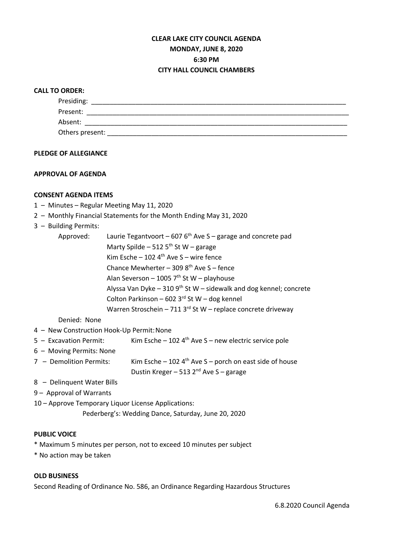# **CLEAR LAKE CITY COUNCIL AGENDA MONDAY, JUNE 8, 2020 6:30 PM CITY HALL COUNCIL CHAMBERS**

## **CALL TO ORDER:**

| Presiding:      |  |
|-----------------|--|
| Present:        |  |
| Absent:         |  |
| Others present: |  |

#### **PLEDGE OF ALLEGIANCE**

#### **APPROVAL OF AGENDA**

## **CONSENT AGENDA ITEMS**

- 1 Minutes Regular Meeting May 11, 2020
- 2 Monthly Financial Statements for the Month Ending May 31, 2020

#### 3 – Building Permits:

| Approved: | Laurie Tegantvoort – 607 $6th$ Ave S – garage and concrete pad       |  |  |
|-----------|----------------------------------------------------------------------|--|--|
|           | Marty Spilde – 512 $5th$ St W – garage                               |  |  |
|           | Kim Esche – 102 4 <sup>th</sup> Ave S – wire fence                   |  |  |
|           | Chance Mewherter - 309 $8th$ Ave S - fence                           |  |  |
|           | Alan Severson - 1005 $7th$ St W - playhouse                          |  |  |
|           | Alyssa Van Dyke - 310 $9th$ St W - sidewalk and dog kennel; concrete |  |  |
|           | Colton Parkinson - 602 3rd St W - dog kennel                         |  |  |
|           | Warren Stroschein - 711 3 $^{rd}$ St W - replace concrete driveway   |  |  |

Denied: None

- 4 New Construction Hook-Up Permit:None
- 5 Excavation Permit: Kim Esche 102  $4<sup>th</sup>$  Ave S new electric service pole
- 6 Moving Permits: None
- 7 Demolition Permits: Kim Esche 102  $4<sup>th</sup>$  Ave S porch on east side of house Dustin Kreger – 513  $2^{nd}$  Ave S – garage
- 8 Delinquent Water Bills
- 9 Approval of Warrants
- 10 Approve Temporary Liquor License Applications:

Pederberg's: Wedding Dance, Saturday, June 20, 2020

#### **PUBLIC VOICE**

- \* Maximum 5 minutes per person, not to exceed 10 minutes per subject
- \* No action may be taken

## **OLD BUSINESS**

Second Reading of Ordinance No. 586, an Ordinance Regarding Hazardous Structures